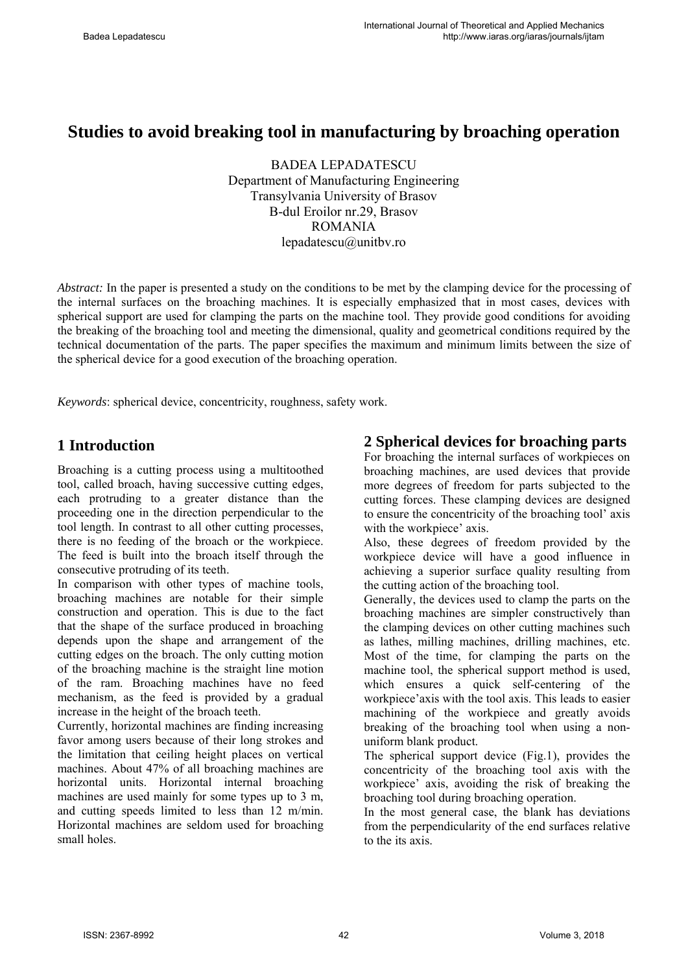# **Studies to avoid breaking tool in manufacturing by broaching operation**

BADEA LEPADATESCU Department of Manufacturing Engineering Transylvania University of Brasov B-dul Eroilor nr.29, Brasov ROMANIA lepadatescu@unitbv.ro

*Abstract:* In the paper is presented a study on the conditions to be met by the clamping device for the processing of the internal surfaces on the broaching machines. It is especially emphasized that in most cases, devices with spherical support are used for clamping the parts on the machine tool. They provide good conditions for avoiding the breaking of the broaching tool and meeting the dimensional, quality and geometrical conditions required by the technical documentation of the parts. The paper specifies the maximum and minimum limits between the size of the spherical device for a good execution of the broaching operation.

*Keywords*: spherical device, concentricity, roughness, safety work.

### **1 Introduction**

Broaching is a cutting process using a multitoothed tool, called broach, having successive cutting edges, each protruding to a greater distance than the proceeding one in the direction perpendicular to the tool length. In contrast to all other cutting processes, there is no feeding of the broach or the workpiece. The feed is built into the broach itself through the consecutive protruding of its teeth.

In comparison with other types of machine tools, broaching machines are notable for their simple construction and operation. This is due to the fact that the shape of the surface produced in broaching depends upon the shape and arrangement of the cutting edges on the broach. The only cutting motion of the broaching machine is the straight line motion of the ram. Broaching machines have no feed mechanism, as the feed is provided by a gradual increase in the height of the broach teeth.

Currently, horizontal machines are finding increasing favor among users because of their long strokes and the limitation that ceiling height places on vertical machines. About 47% of all broaching machines are horizontal units. Horizontal internal broaching machines are used mainly for some types up to 3 m, and cutting speeds limited to less than 12 m/min. Horizontal machines are seldom used for broaching small holes.

### **2 Spherical devices for broaching parts**

For broaching the internal surfaces of workpieces on broaching machines, are used devices that provide more degrees of freedom for parts subjected to the cutting forces. These clamping devices are designed to ensure the concentricity of the broaching tool' axis with the workpiece' axis.

Also, these degrees of freedom provided by the workpiece device will have a good influence in achieving a superior surface quality resulting from the cutting action of the broaching tool.

Generally, the devices used to clamp the parts on the broaching machines are simpler constructively than the clamping devices on other cutting machines such as lathes, milling machines, drilling machines, etc. Most of the time, for clamping the parts on the machine tool, the spherical support method is used, which ensures a quick self-centering of the workpiece'axis with the tool axis. This leads to easier machining of the workpiece and greatly avoids breaking of the broaching tool when using a nonuniform blank product.

The spherical support device (Fig.1), provides the concentricity of the broaching tool axis with the workpiece' axis, avoiding the risk of breaking the broaching tool during broaching operation.

In the most general case, the blank has deviations from the perpendicularity of the end surfaces relative to the its axis.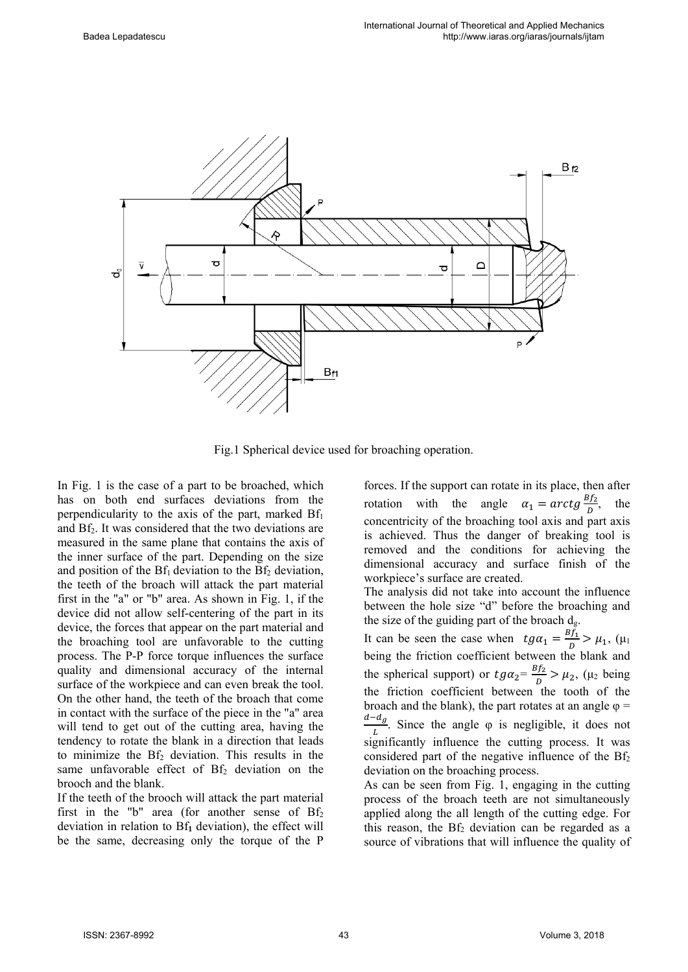

Fig.1 Spherical device used for broaching operation.

In Fig. 1 is the case of a part to be broached, which has on both end surfaces deviations from the perpendicularity to the axis of the part, marked  $Bf_1$ and Bf2. It was considered that the two deviations are measured in the same plane that contains the axis of the inner surface of the part. Depending on the size and position of the  $Bf_1$  deviation to the  $Bf_2$  deviation, the teeth of the broach will attack the part material first in the "a" or "b" area. As shown in Fig. 1, if the device did not allow self-centering of the part in its device, the forces that appear on the part material and the broaching tool are unfavorable to the cutting process. The P-P force torque influences the surface quality and dimensional accuracy of the internal surface of the workpiece and can even break the tool. On the other hand, the teeth of the broach that come in contact with the surface of the piece in the "a" area will tend to get out of the cutting area, having the tendency to rotate the blank in a direction that leads to minimize the  $Bf<sub>2</sub>$  deviation. This results in the same unfavorable effect of  $Bf<sub>2</sub>$  deviation on the brooch and the blank.

If the teeth of the brooch will attack the part material first in the "b" area (for another sense of  $Bf_2$ ) deviation in relation to Bf**1** deviation), the effect will be the same, decreasing only the torque of the P

forces. If the support can rotate in its place, then after rotation with the angle  $\alpha_1 = \arctg \frac{Bf_2}{D}$ , the concentricity of the broaching tool axis and part axis is achieved. Thus the danger of breaking tool is removed and the conditions for achieving the dimensional accuracy and surface finish of the workpiece's surface are created.

The analysis did not take into account the influence between the hole size "d" before the broaching and the size of the guiding part of the broach  $d_g$ .

It can be seen the case when  $tg\alpha_1 = \frac{Bf_1}{D} > \mu_1$ , ( $\mu_1$ being the friction coefficient between the blank and the spherical support) or  $tg\alpha_2 = \frac{Bf_2}{D} > \mu_2$ , ( $\mu_2$  being the friction coefficient between the tooth of the broach and the blank), the part rotates at an angle  $\varphi$  =  $\frac{d-d_g}{L}$ . Since the angle  $\varphi$  is negligible, it does not significantly influence the cutting process. It was considered part of the negative influence of the  $Bf_2$ deviation on the broaching process.

As can be seen from Fig. 1, engaging in the cutting process of the broach teeth are not simultaneously applied along the all length of the cutting edge. For this reason, the  $Bf_2$  deviation can be regarded as a source of vibrations that will influence the quality of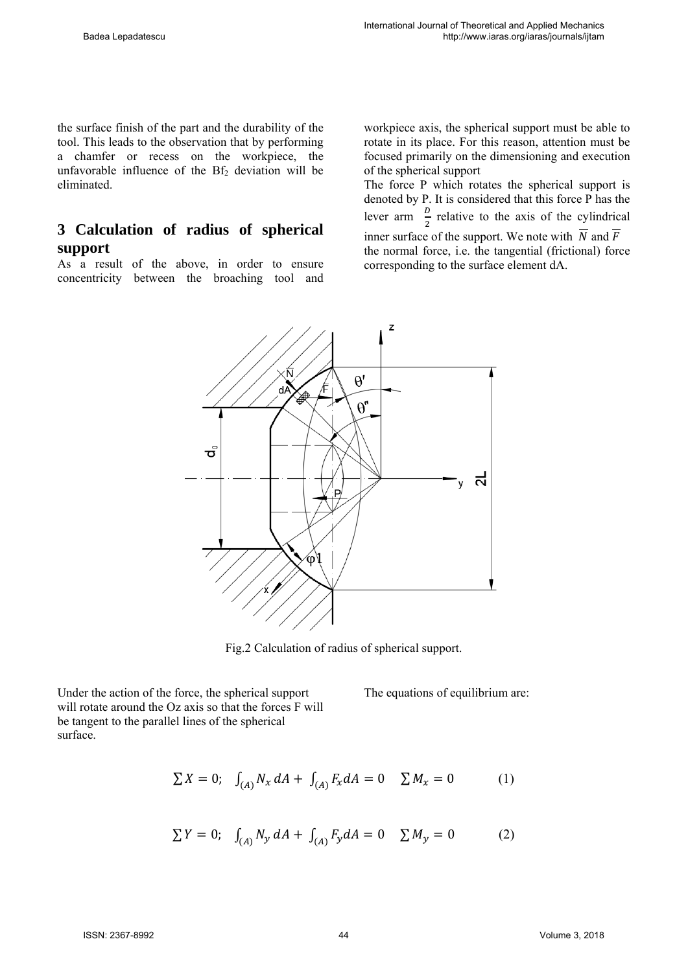the surface finish of the part and the durability of the tool. This leads to the observation that by performing a chamfer or recess on the workpiece, the unfavorable influence of the  $Bf<sub>2</sub>$  deviation will be eliminated.

## **3 Calculation of radius of spherical support**

As a result of the above, in order to ensure concentricity between the broaching tool and workpiece axis, the spherical support must be able to rotate in its place. For this reason, attention must be focused primarily on the dimensioning and execution of the spherical support

The force P which rotates the spherical support is denoted by P. It is considered that this force P has the lever arm  $\frac{D}{2}$  relative to the axis of the cylindrical inner surface of the support. We note with  $\overline{N}$  and  $\overline{F}$ the normal force, i.e. the tangential (frictional) force corresponding to the surface element dA.



Fig.2 Calculation of radius of spherical support.

Under the action of the force, the spherical support will rotate around the Oz axis so that the forces F will be tangent to the parallel lines of the spherical surface.

The equations of equilibrium are:

$$
\sum X = 0; \quad \int_{(A)} N_x \, dA + \int_{(A)} F_x \, dA = 0 \quad \sum M_x = 0 \tag{1}
$$

$$
\sum Y = 0; \quad \int_{(A)} N_y \, dA + \int_{(A)} F_y dA = 0 \quad \sum M_y = 0 \tag{2}
$$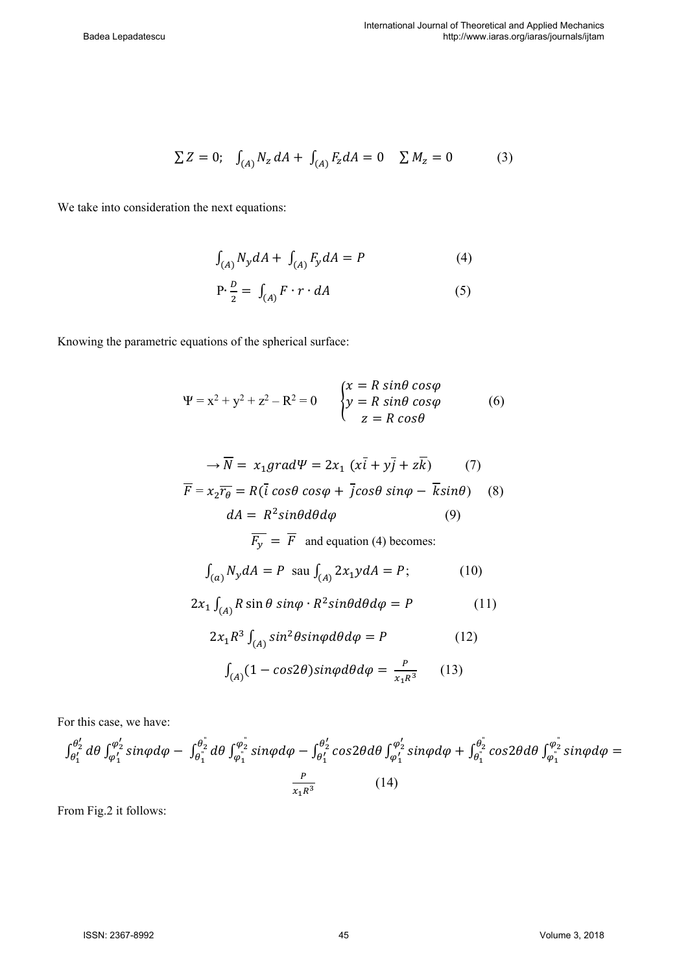$$
\sum Z = 0; \quad \int_{(A)} N_z \, dA + \int_{(A)} F_z \, dA = 0 \quad \sum M_z = 0 \tag{3}
$$

We take into consideration the next equations:

$$
\int_{(A)} N_{y} dA + \int_{(A)} F_{y} dA = P
$$
 (4)

$$
P \cdot \frac{D}{2} = \int_{(A)} F \cdot r \cdot dA \tag{5}
$$

Knowing the parametric equations of the spherical surface:

$$
\Psi = x^2 + y^2 + z^2 - R^2 = 0 \qquad \begin{cases} x = R \sin\theta \cos\phi \\ y = R \sin\theta \cos\phi \\ z = R \cos\theta \end{cases} \tag{6}
$$

$$
\rightarrow \overline{N} = x_1grad\Psi = 2x_1 (x\overline{i} + y\overline{j} + z\overline{k}) \qquad (7)
$$
  

$$
\overline{F} = x_2 \overline{r_\theta} = R(\overline{i} \cos\theta \cos\varphi + \overline{j} \cos\theta \sin\varphi - \overline{k} \sin\theta) \qquad (8)
$$
  

$$
dA = R^2 \sin\theta d\theta d\varphi \qquad (9)
$$
  

$$
\overline{F_y} = \overline{F} \text{ and equation (4) becomes:}
$$
  

$$
\int_{(a)} N_y dA = P \text{ sau } \int_{(A)} 2x_1 y dA = P; \qquad (10)
$$

$$
2x_1 \int_{(A)} R \sin \theta \sin \varphi \cdot R^2 \sin \theta d\theta d\varphi = P \tag{11}
$$

$$
2x_1R^3 \int_{(A)} \sin^2 \theta \sin \varphi d\theta d\varphi = P \tag{12}
$$

$$
\int_{(A)} (1 - \cos 2\theta) \sin \varphi d\theta d\varphi = \frac{P}{x_1 R^3} \qquad (13)
$$

For this case, we have:

$$
\int_{\theta_1'}^{\theta_2'} d\theta \int_{\varphi_1'}^{\varphi_2'} \sin\varphi d\varphi - \int_{\theta_1}^{\theta_2'} d\theta \int_{\varphi_1'}^{\varphi_2'} \sin\varphi d\varphi - \int_{\theta_1'}^{\theta_2'} \cos2\theta d\theta \int_{\varphi_1'}^{\varphi_2'} \sin\varphi d\varphi + \int_{\theta_1}^{\theta_2'} \cos2\theta d\theta \int_{\varphi_1}^{\varphi_2'} \sin\varphi d\varphi =
$$
\n
$$
\frac{P}{x_1 R^3}
$$
\n(14)

From Fig.2 it follows: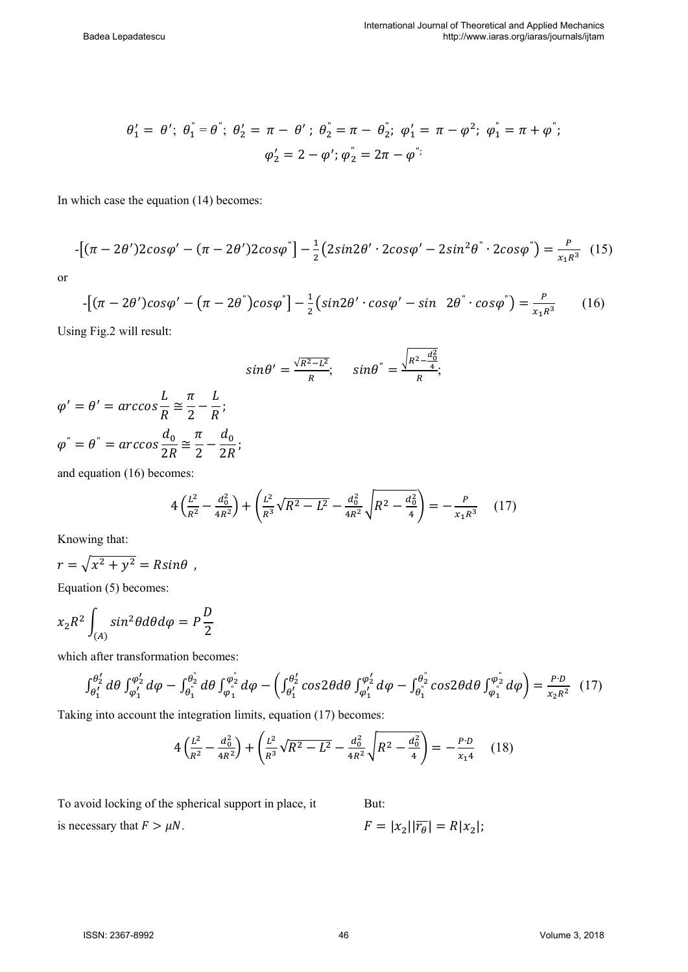$$
\theta'_1 = \theta'; \ \theta''_1 = \theta"; \ \theta'_2 = \pi - \theta'; \ \theta''_2 = \pi - \theta''_2; \ \varphi'_1 = \pi - \varphi^2; \ \varphi''_1 = \pi + \varphi";
$$

$$
\varphi'_2 = 2 - \varphi'; \ \varphi''_2 = 2\pi - \varphi";
$$

In which case the equation (14) becomes:

$$
-\left[(\pi - 2\theta')2\cos\varphi' - (\pi - 2\theta')2\cos\varphi''\right] - \frac{1}{2}\left(2\sin 2\theta' \cdot 2\cos\varphi' - 2\sin^2\theta'' \cdot 2\cos\varphi''\right) = \frac{P}{x_1R^3} \tag{15}
$$

or

$$
-\left[(\pi - 2\theta')\cos\varphi' - (\pi - 2\theta'')\cos\varphi'\right] - \frac{1}{2}\left(\sin 2\theta' \cdot \cos\varphi' - \sin 2\theta' \cdot \cos\varphi'\right) = \frac{P}{x_1R^3} \tag{16}
$$

Using Fig.2 will result:

$$
\sin\theta'=\frac{\sqrt{R^2-L^2}}{R}; \quad \sin\theta''=\frac{\sqrt{R^2-\frac{d_0^2}{4}}}{R};
$$

$$
\varphi' = \theta' = \arccos \frac{L}{R} \approx \frac{\pi}{2} - \frac{L}{R};
$$
  

$$
\varphi'' = \theta'' = \arccos \frac{d_0}{2R} \approx \frac{\pi}{2} - \frac{d_0}{2R};
$$

ܮ

 $\pi$  L

and equation (16) becomes:

$$
4\left(\frac{L^2}{R^2} - \frac{d_0^2}{4R^2}\right) + \left(\frac{L^2}{R^3}\sqrt{R^2 - L^2} - \frac{d_0^2}{4R^2}\sqrt{R^2 - \frac{d_0^2}{4}}\right) = -\frac{P}{x_1R^3} \quad (17)
$$

Knowing that:

$$
r = \sqrt{x^2 + y^2} = R\sin\theta ,
$$

Equation (5) becomes:

$$
x_2R^2 \int_{(A)} \sin^2 \theta d\theta d\varphi = P \frac{D}{2}
$$

which after transformation becomes:

$$
\int_{\theta_1'}^{\theta_2'} d\theta \int_{\varphi_1'}^{\varphi_2'} d\varphi - \int_{\theta_1^*}^{\theta_2'} d\theta \int_{\varphi_1^*}^{\varphi_2'} d\varphi - \left( \int_{\theta_1'}^{\theta_2'} cos 2\theta d\theta \int_{\varphi_1'}^{\varphi_2'} d\varphi - \int_{\theta_1^*}^{\theta_2'} cos 2\theta d\theta \int_{\varphi_1^*}^{\varphi_2'} d\varphi \right) = \frac{P \cdot D}{x_2 R^2} (17)
$$

Taking into account the integration limits, equation (17) becomes:

$$
4\left(\frac{L^2}{R^2} - \frac{d_0^2}{4R^2}\right) + \left(\frac{L^2}{R^3}\sqrt{R^2 - L^2} - \frac{d_0^2}{4R^2}\sqrt{R^2 - \frac{d_0^2}{4}}\right) = -\frac{P \cdot D}{x_1 4} \quad (18)
$$

But:

To avoid locking of the spherical support in place, it is necessary that  $F > \mu N$ .

 $F = |x_2||\overline{r_a}| = R|x_2|;$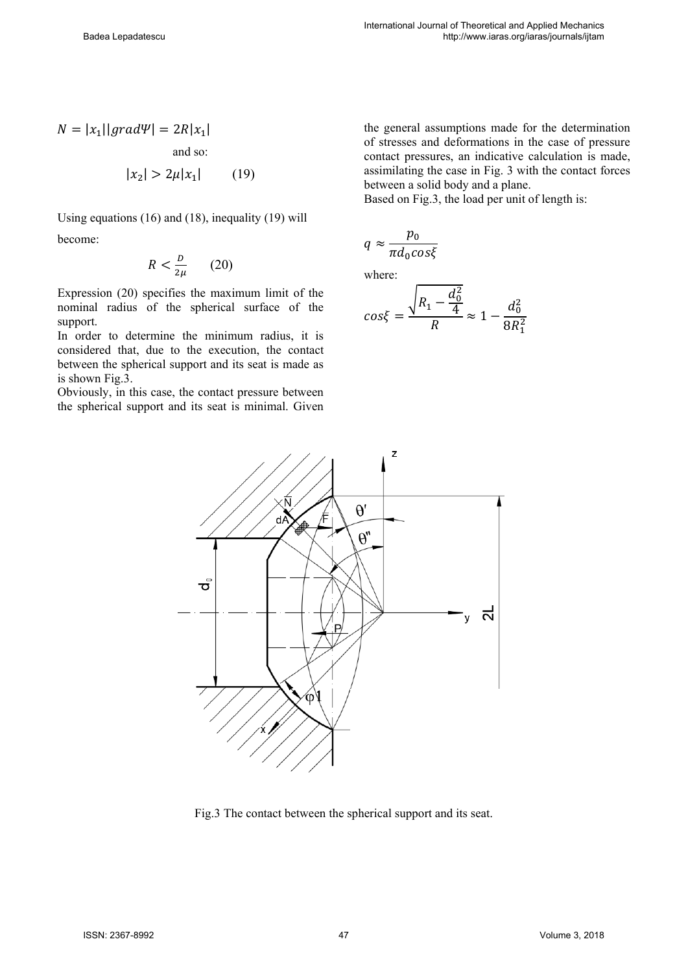$$
N = |x_1||grad\Psi| = 2R|x_1|
$$
  
and so:  

$$
|x_2| > 2\mu|x_1|
$$
 (19)

Using equations (16) and (18), inequality (19) will become:

$$
R < \frac{D}{2\mu} \qquad (20)
$$

Expression (20) specifies the maximum limit of the nominal radius of the spherical surface of the support.

In order to determine the minimum radius, it is considered that, due to the execution, the contact between the spherical support and its seat is made as is shown Fig.3.

Obviously, in this case, the contact pressure between the spherical support and its seat is minimal. Given the general assumptions made for the determination of stresses and deformations in the case of pressure contact pressures, an indicative calculation is made, assimilating the case in Fig. 3 with the contact forces between a solid body and a plane.

Based on Fig.3, the load per unit of length is:

$$
q \approx \frac{p_0}{\pi d_0 \cos \xi}
$$

where:

$$
cos\xi = \frac{\sqrt{R_1 - \frac{d_0^2}{4}}}{R} \approx 1 - \frac{d_0^2}{8R_1^2}
$$



Fig.3 The contact between the spherical support and its seat.